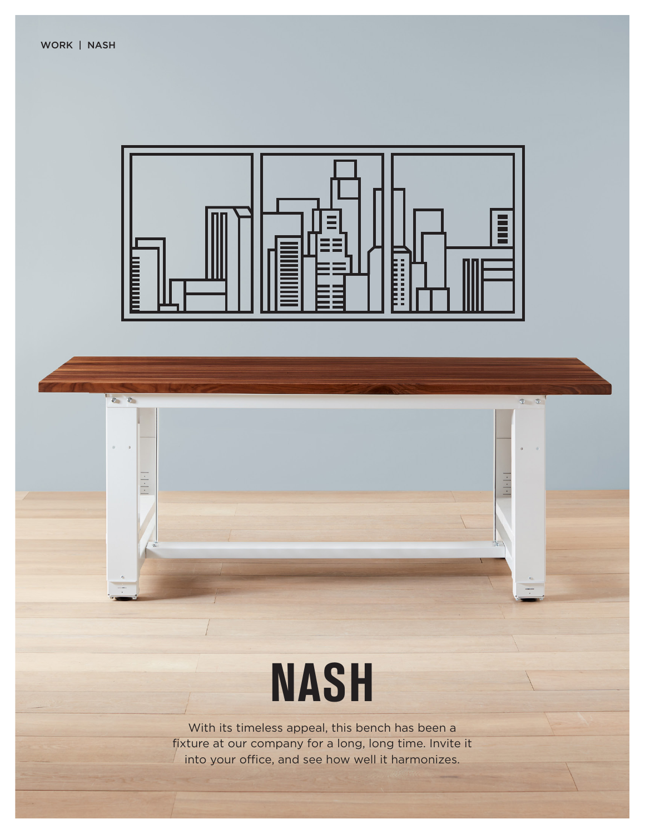$00$ 

 $\vert \cdot \vert \cdot \vert$ 



 $Q = \overline{Q}$ 

## **NASH**

With its timeless appeal, this bench has been a fixture at our company for a long, long time. Invite it into your office, and see how well it harmonizes.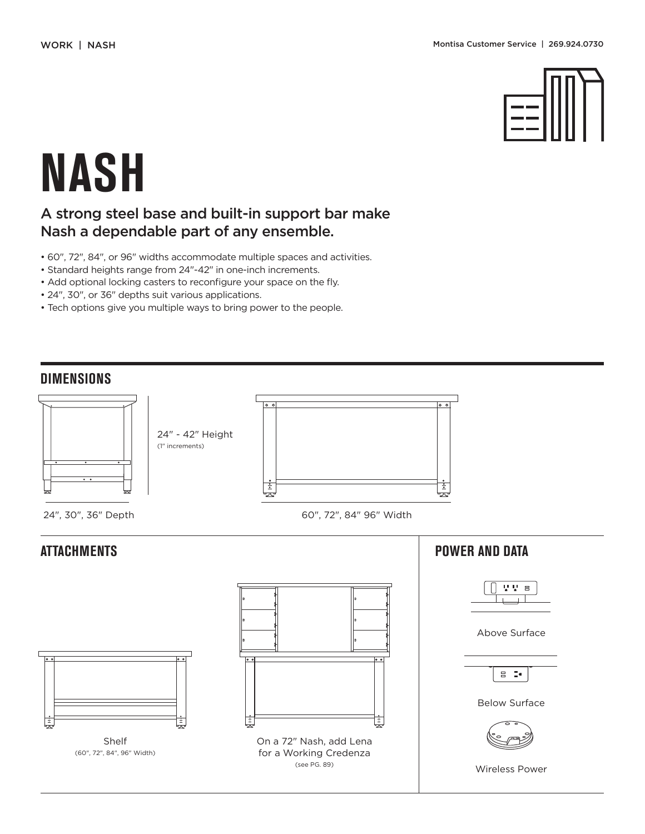

# **NASH**

### A strong steel base and built-in support bar make Nash a dependable part of any ensemble.

- 60", 72", 84", or 96" widths accommodate multiple spaces and activities.
- Standard heights range from 24"-42" in one-inch increments.
- Add optional locking casters to reconfigure your space on the fly.
- 24", 30", or 36" depths suit various applications.
- Tech options give you multiple ways to bring power to the people.

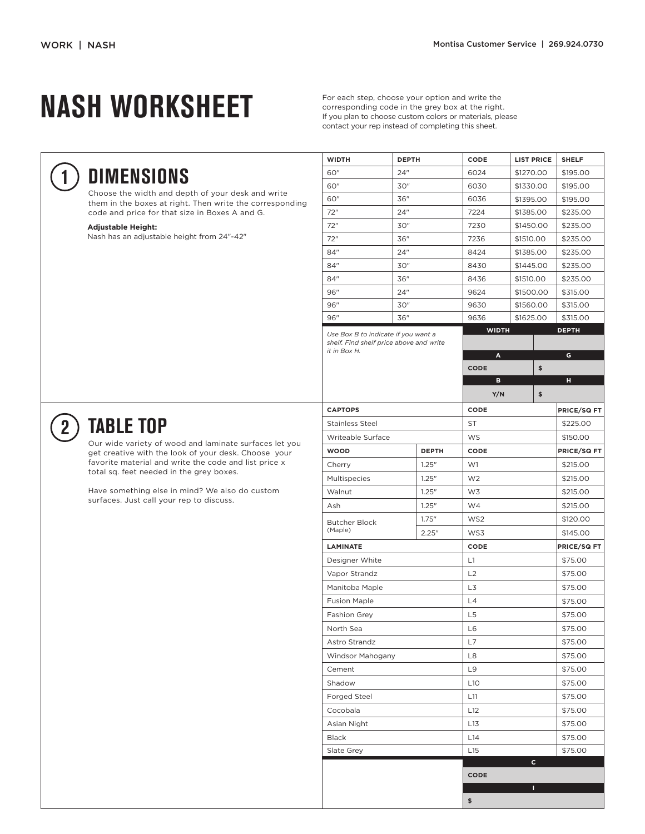## **NASH WORKSHEET**

For each step, choose your option and write the corresponding code in the grey box at the right. If you plan to choose custom colors or materials, please contact your rep instead of completing this sheet.

**WIDTH DEPTH CODE LIST PRICE SHELF**

**1**

### **DIMENSIONS**

Choose the width and depth of your desk and write them in the boxes at right. Then write the corresponding code and price for that size in Boxes A and G.

#### **Adjustable Height:**

Nash has an adjustable height from 24"-42"

| 60"                                                                                            | 24" |              | 6024            |              | \$1270.00 | \$195.00          |  |  |
|------------------------------------------------------------------------------------------------|-----|--------------|-----------------|--------------|-----------|-------------------|--|--|
| 60"                                                                                            | 30" |              | 6030            |              | \$1330.00 | \$195.00          |  |  |
| 60"                                                                                            | 36" |              | 6036            |              | \$1395.00 | \$195.00          |  |  |
| 72"                                                                                            | 24" |              | 7224            | \$1385.00    |           | \$235.00          |  |  |
| 72"                                                                                            | 30" |              | 7230            |              | \$1450.00 | \$235.00          |  |  |
| 72"                                                                                            | 36" |              | 7236            | \$1510.00    |           | \$235.00          |  |  |
| 84"                                                                                            | 24" |              | 8424            | \$1385.00    |           | \$235.00          |  |  |
| 84"                                                                                            | 30" |              | 8430            |              | \$1445.00 | \$235.00          |  |  |
| 84"                                                                                            | 36" |              | 8436            | \$1510.00    |           | \$235.00          |  |  |
| 96"                                                                                            | 24" |              | 9624            | \$1500.00    |           | \$315.00          |  |  |
| 96"                                                                                            | 30" |              | 9630            | \$1560.00    |           | \$315.00          |  |  |
| 96"                                                                                            | 36" |              | 9636            | \$1625.00    |           | \$315.00          |  |  |
| Use Box B to indicate if you want a<br>shelf. Find shelf price above and write<br>it in Box H. |     |              | A               | <b>WIDTH</b> |           | <b>DEPTH</b><br>G |  |  |
|                                                                                                |     |              | <b>CODE</b>     |              | \$        |                   |  |  |
|                                                                                                |     |              | в               |              |           | н                 |  |  |
|                                                                                                |     |              | Y/N             |              | \$        |                   |  |  |
| <b>CAPTOPS</b>                                                                                 |     |              | CODE            |              |           |                   |  |  |
| <b>Stainless Steel</b>                                                                         |     |              | ST              |              |           |                   |  |  |
| Writeable Surface                                                                              |     |              | <b>WS</b>       |              |           |                   |  |  |
| <b>WOOD</b>                                                                                    |     | <b>DEPTH</b> | CODE            |              |           |                   |  |  |
| Cherry                                                                                         |     | 1.25''       | W1              |              |           | \$215.00          |  |  |
| Multispecies                                                                                   |     | 1.25''       | W <sub>2</sub>  |              |           |                   |  |  |
| Walnut                                                                                         |     | 1.25''       | W3              |              |           |                   |  |  |
| Ash                                                                                            |     | 1.25''       | W4              |              |           |                   |  |  |
| <b>Butcher Block</b><br>(Maple)                                                                |     | 1.75''       | WS <sub>2</sub> |              |           |                   |  |  |
|                                                                                                |     | 2.25"        | WS3             | \$145.00     |           |                   |  |  |
| <b>LAMINATE</b>                                                                                |     |              | CODE            |              |           |                   |  |  |
| Designer White                                                                                 |     |              | L1              |              |           |                   |  |  |
| Vapor Strandz                                                                                  |     |              | L2              |              |           |                   |  |  |
| Manitoba Maple                                                                                 |     |              | L3              |              |           |                   |  |  |
| <b>Fusion Maple</b>                                                                            |     |              | L4              |              |           |                   |  |  |
| <b>Fashion Grey</b>                                                                            |     |              | L5              |              |           |                   |  |  |
| North Sea                                                                                      |     |              | L6              |              |           |                   |  |  |
| Astro Strandz                                                                                  |     |              | L7              |              |           |                   |  |  |
| <b>Windsor Mahogany</b>                                                                        |     |              | L8              |              |           |                   |  |  |
| Cement                                                                                         |     |              | L9              |              |           |                   |  |  |
| Shadow                                                                                         |     |              | L10             |              |           |                   |  |  |
| Forged Steel                                                                                   |     |              | L11             |              |           |                   |  |  |
| Cocobala                                                                                       |     |              | L12             |              |           |                   |  |  |
| Asian Night                                                                                    |     |              | L13             |              |           |                   |  |  |
| <b>Black</b>                                                                                   |     |              | L14             |              |           |                   |  |  |
| <b>Slate Grey</b>                                                                              | L15 |              |                 |              |           |                   |  |  |
|                                                                                                |     |              |                 |              | c         |                   |  |  |
|                                                                                                |     |              | CODE            |              |           |                   |  |  |

**I**

**\$**



### **TABLE TOP**

Our wide variety of wood and laminate surfaces let you get creative with the look of your desk. Choose your favorite material and write the code and list price x total sq. feet needed in the grey boxes.

Have something else in mind? We also do custom surfaces. Just call your rep to discuss.